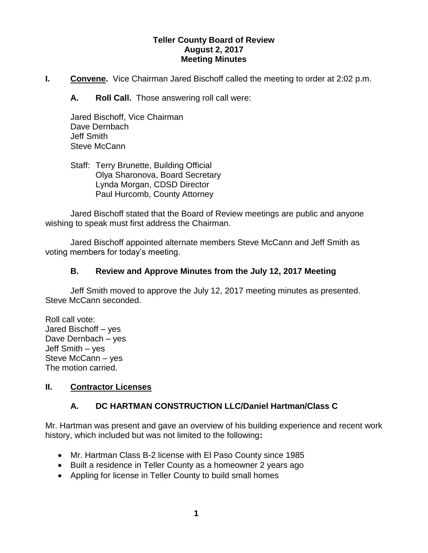### **Teller County Board of Review August 2, 2017 Meeting Minutes**

**I.** Convene. Vice Chairman Jared Bischoff called the meeting to order at 2:02 p.m.

**A. Roll Call.** Those answering roll call were:

Jared Bischoff, Vice Chairman Dave Dernbach Jeff Smith Steve McCann

Staff: Terry Brunette, Building Official Olya Sharonova, Board Secretary Lynda Morgan, CDSD Director Paul Hurcomb, County Attorney

Jared Bischoff stated that the Board of Review meetings are public and anyone wishing to speak must first address the Chairman.

Jared Bischoff appointed alternate members Steve McCann and Jeff Smith as voting members for today's meeting.

## **B. Review and Approve Minutes from the July 12, 2017 Meeting**

Jeff Smith moved to approve the July 12, 2017 meeting minutes as presented. Steve McCann seconded.

Roll call vote: Jared Bischoff – yes Dave Dernbach – yes Jeff Smith – yes Steve McCann – yes The motion carried.

## **II. Contractor Licenses**

# **A. DC HARTMAN CONSTRUCTION LLC/Daniel Hartman/Class C**

Mr. Hartman was present and gave an overview of his building experience and recent work history, which included but was not limited to the following**:**

- Mr. Hartman Class B-2 license with El Paso County since 1985
- Built a residence in Teller County as a homeowner 2 years ago
- Appling for license in Teller County to build small homes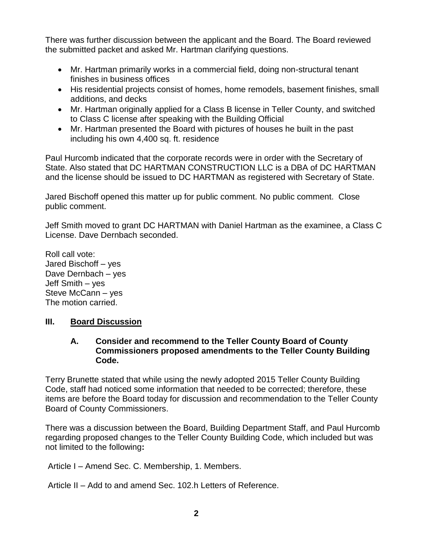There was further discussion between the applicant and the Board. The Board reviewed the submitted packet and asked Mr. Hartman clarifying questions.

- Mr. Hartman primarily works in a commercial field, doing non-structural tenant finishes in business offices
- His residential projects consist of homes, home remodels, basement finishes, small additions, and decks
- Mr. Hartman originally applied for a Class B license in Teller County, and switched to Class C license after speaking with the Building Official
- Mr. Hartman presented the Board with pictures of houses he built in the past including his own 4,400 sq. ft. residence

Paul Hurcomb indicated that the corporate records were in order with the Secretary of State. Also stated that DC HARTMAN CONSTRUCTION LLC is a DBA of DC HARTMAN and the license should be issued to DC HARTMAN as registered with Secretary of State.

Jared Bischoff opened this matter up for public comment. No public comment. Close public comment.

Jeff Smith moved to grant DC HARTMAN with Daniel Hartman as the examinee, a Class C License. Dave Dernbach seconded.

Roll call vote: Jared Bischoff – yes Dave Dernbach – yes Jeff Smith – yes Steve McCann – yes The motion carried.

## **III. Board Discussion**

#### **A. Consider and recommend to the Teller County Board of County Commissioners proposed amendments to the Teller County Building Code.**

Terry Brunette stated that while using the newly adopted 2015 Teller County Building Code, staff had noticed some information that needed to be corrected; therefore, these items are before the Board today for discussion and recommendation to the Teller County Board of County Commissioners.

There was a discussion between the Board, Building Department Staff, and Paul Hurcomb regarding proposed changes to the Teller County Building Code, which included but was not limited to the following**:**

Article I – Amend Sec. C. Membership, 1. Members.

Article II – Add to and amend Sec. 102.h Letters of Reference.